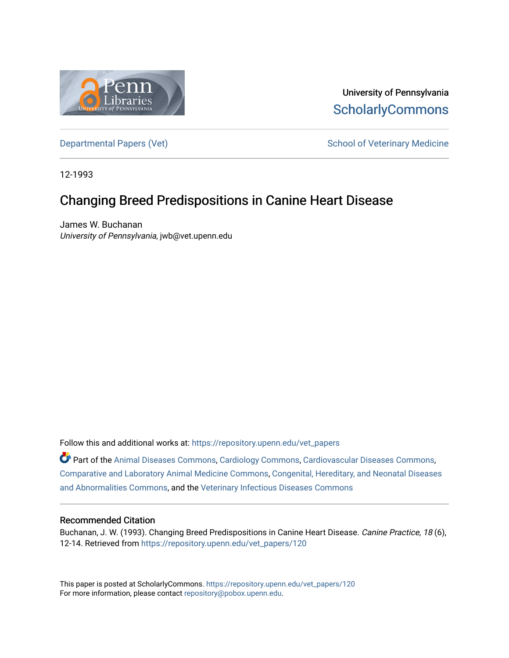

University of Pennsylvania **ScholarlyCommons** 

[Departmental Papers \(Vet\)](https://repository.upenn.edu/vet_papers) and School of Veterinary Medicine

12-1993

## Changing Breed Predispositions in Canine Heart Disease

James W. Buchanan University of Pennsylvania, jwb@vet.upenn.edu

Follow this and additional works at: [https://repository.upenn.edu/vet\\_papers](https://repository.upenn.edu/vet_papers?utm_source=repository.upenn.edu%2Fvet_papers%2F120&utm_medium=PDF&utm_campaign=PDFCoverPages) 

Part of the [Animal Diseases Commons,](http://network.bepress.com/hgg/discipline/918?utm_source=repository.upenn.edu%2Fvet_papers%2F120&utm_medium=PDF&utm_campaign=PDFCoverPages) [Cardiology Commons](http://network.bepress.com/hgg/discipline/683?utm_source=repository.upenn.edu%2Fvet_papers%2F120&utm_medium=PDF&utm_campaign=PDFCoverPages), [Cardiovascular Diseases Commons,](http://network.bepress.com/hgg/discipline/929?utm_source=repository.upenn.edu%2Fvet_papers%2F120&utm_medium=PDF&utm_campaign=PDFCoverPages) [Comparative and Laboratory Animal Medicine Commons](http://network.bepress.com/hgg/discipline/768?utm_source=repository.upenn.edu%2Fvet_papers%2F120&utm_medium=PDF&utm_campaign=PDFCoverPages), [Congenital, Hereditary, and Neonatal Diseases](http://network.bepress.com/hgg/discipline/971?utm_source=repository.upenn.edu%2Fvet_papers%2F120&utm_medium=PDF&utm_campaign=PDFCoverPages)  [and Abnormalities Commons,](http://network.bepress.com/hgg/discipline/971?utm_source=repository.upenn.edu%2Fvet_papers%2F120&utm_medium=PDF&utm_campaign=PDFCoverPages) and the [Veterinary Infectious Diseases Commons](http://network.bepress.com/hgg/discipline/770?utm_source=repository.upenn.edu%2Fvet_papers%2F120&utm_medium=PDF&utm_campaign=PDFCoverPages) 

### Recommended Citation

Buchanan, J. W. (1993). Changing Breed Predispositions in Canine Heart Disease. Canine Practice, 18 (6), 12-14. Retrieved from [https://repository.upenn.edu/vet\\_papers/120](https://repository.upenn.edu/vet_papers/120?utm_source=repository.upenn.edu%2Fvet_papers%2F120&utm_medium=PDF&utm_campaign=PDFCoverPages) 

This paper is posted at ScholarlyCommons. [https://repository.upenn.edu/vet\\_papers/120](https://repository.upenn.edu/vet_papers/120) For more information, please contact [repository@pobox.upenn.edu.](mailto:repository@pobox.upenn.edu)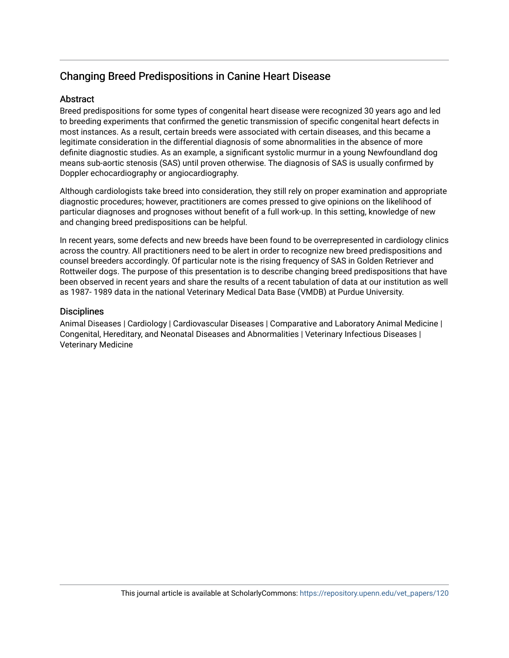## Changing Breed Predispositions in Canine Heart Disease

## Abstract

Breed predispositions for some types of congenital heart disease were recognized 30 years ago and led to breeding experiments that confirmed the genetic transmission of specific congenital heart defects in most instances. As a result, certain breeds were associated with certain diseases, and this became a legitimate consideration in the differential diagnosis of some abnormalities in the absence of more definite diagnostic studies. As an example, a significant systolic murmur in a young Newfoundland dog means sub-aortic stenosis (SAS) until proven otherwise. The diagnosis of SAS is usually confirmed by Doppler echocardiography or angiocardiography.

Although cardiologists take breed into consideration, they still rely on proper examination and appropriate diagnostic procedures; however, practitioners are comes pressed to give opinions on the likelihood of particular diagnoses and prognoses without benefit of a full work-up. In this setting, knowledge of new and changing breed predispositions can be helpful.

In recent years, some defects and new breeds have been found to be overrepresented in cardiology clinics across the country. All practitioners need to be alert in order to recognize new breed predispositions and counsel breeders accordingly. Of particular note is the rising frequency of SAS in Golden Retriever and Rottweiler dogs. The purpose of this presentation is to describe changing breed predispositions that have been observed in recent years and share the results of a recent tabulation of data at our institution as well as 1987- 1989 data in the national Veterinary Medical Data Base (VMDB) at Purdue University.

## **Disciplines**

Animal Diseases | Cardiology | Cardiovascular Diseases | Comparative and Laboratory Animal Medicine | Congenital, Hereditary, and Neonatal Diseases and Abnormalities | Veterinary Infectious Diseases | Veterinary Medicine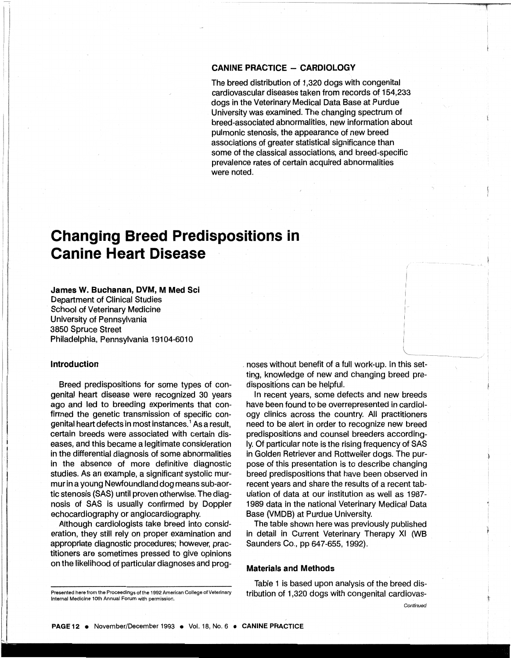#### **CANINE PRACTICE - CARDIOLOGY**

The breed distribution of 1 ,320 dogs with congenital cardiovascular diseases taken from records of 154,233 dogs in the Veterinary Medical Data Base at Purdue University was examined. The changing spectrum of breed-associated abnormalities, new information about pulmonic stenosis, the appearance of new breed associations of greater statistical significance than some of the classical associations, and breed-specific prevalence rates of certain acquired abnormalities were noted.

## **Changing Breed Predispositions in Canine Heart Disease**

### **James W. Buchanan, DVM, M Med Sci**

Department of Clinical Studies School of Veterinary Medicine University of Pennsylvania 3850 Spruce Street Philadelphia, Pennsylvania 19104-6010

#### **Introduction**

Breed predispositions for some types of congenital heart disease were recognized 30 years ago and led to breeding experiments that confirmed the genetic transmission of specific congenital heart defects in most instances. 1 As a result, certain breeds were associated with certain diseases, and this became a legitimate consideration in the differential diagnosis of some abnormalities in the absence of more definitive diagnostic studies. As an example, a significant systolic murmur in a young Newfoundland dog means sub-aortic stenosis (SAS) until proven otherwise. The diagnosis of SAS is usually confirmed by Doppler echocardiography or angiocardiography.

Although cardiologists take breed into consideration, they still rely on proper examination and appropriate diagnostic procedures; however, practitioners are sometimes pressed to give opinions on the likelihood of particular diagnoses and prog. noses without benefit of a full work-up. In this setting, knowledge of new and changing breed predispositions can be helpful.

In recent years, some defects and new breeds have been found to be overrepresented in cardiology clinics across the country. All practitioners need to be alert in order to recognize new breed predispositions and counsel breeders accordingly. Of particular note is the rising frequency of SAS in Golden Retriever and Rottweiler dogs. The purpose of this presentation is to describe changing breed predispositions that have been observed in recent years and share the results of a recent tabulation of data at our institution as well as 1987- 1989 data in the national Veterinary Medical Data Base (VMDB) at Purdue University.

The table shown here was previously published in detail in Current Veterinary Therapy XI (WB Saunders Co., pp 647-655, 1992).

#### **Materials and Methods**

Table 1 is based upon analysis of the breed distribution of 1,320 dogs with congenital cardiovas-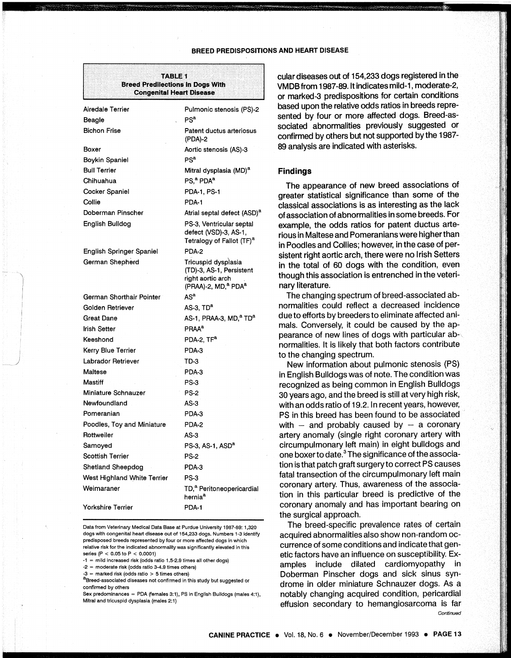#### BREED PREDISPOSITIONS AND HEART DISEASE

#### **TABLE 1 Breed Predilections in Dogs With Congenital Heart Disease**

| Airedale Terrier            | Pulmonic stenosis (PS)-2                                                                                            |
|-----------------------------|---------------------------------------------------------------------------------------------------------------------|
| Beagle                      | PS <sup>a</sup>                                                                                                     |
| <b>Bichon Frise</b>         | Patent ductus arteriosus<br>(PDA)-2                                                                                 |
| Boxer                       | Aortic stenosis (AS)-3                                                                                              |
| Boykin Spaniel              | PS <sup>a</sup>                                                                                                     |
| <b>Bull Terrier</b>         | Mitral dysplasia (MD) <sup>a</sup>                                                                                  |
| Chihuahua                   | PS, <sup>a</sup> PDA <sup>a</sup>                                                                                   |
| <b>Cocker Spaniel</b>       | PDA-1, PS-1                                                                                                         |
| Collie                      | PDA-1                                                                                                               |
| Doberman Pinscher           | Atrial septal defect (ASD) <sup>a</sup>                                                                             |
| English Bulldog             | PS-3, Ventricular septal<br>defect (VSD)-3, AS-1,<br>Tetralogy of Fallot (TF) <sup>a</sup>                          |
| English Springer Spaniel    | PDA-2                                                                                                               |
| German Shepherd             | Tricuspid dysplasia<br>(TD)-3, AS-1, Persistent<br>right aortic arch<br>(PRAA)-2, MD, <sup>a</sup> PDA <sup>a</sup> |
| German Shorthair Pointer    | AS <sup>a</sup>                                                                                                     |
| Golden Retriever            | AS-3, TD <sup>a</sup>                                                                                               |
| Great Dane                  | AS-1, PRAA-3, MD, <sup>a</sup> TD <sup>a</sup>                                                                      |
| <b>Irish Setter</b>         | <b>PRAA<sup>a</sup></b>                                                                                             |
| Keeshond                    | PDA-2. TF <sup>a</sup>                                                                                              |
| Kerry Blue Terrier          | PDA-3                                                                                                               |
| Labrador Retriever          | TD-3                                                                                                                |
| Maltese                     | PDA-3                                                                                                               |
| Mastiff                     | <b>PS-3</b>                                                                                                         |
| Miniature Schnauzer         | <b>PS-2</b>                                                                                                         |
| Newfoundland                | $AS-3$                                                                                                              |
| Pomeranian                  | PDA-3                                                                                                               |
| Poodles, Toy and Miniature  | PDA-2                                                                                                               |
| Rottweiler                  | $AS-3$                                                                                                              |
| Samoyed                     | PS-3, AS-1, ASD <sup>a</sup>                                                                                        |
| <b>Scottish Terrier</b>     | <b>PS-2</b>                                                                                                         |
| Shetland Sheepdog           | PDA-3                                                                                                               |
| West Highland White Terrier | PS-3                                                                                                                |
| Weimaraner                  | TD, <sup>a</sup> Peritoneopericardial<br>hernia <sup>a</sup>                                                        |
| <b>Yorkshire Terrier</b>    | PDA-1                                                                                                               |

Data from Veterinary Medical Data Base at Purdue University 1987-89: 1,320 dogs with congenital heart disease out of 154,233 dogs. Numbers 1-3 identify predisposed breeds represented by four or more affected dogs In which relative risk for the indicated abnormality was significantly elevated in this series (P < 0.05to P < 0.0001)

 $-1$  = mild increased risk (odds ratio 1.5-2.9 times all other dogs)

·2 = moderate risk (odds ratio 3-4.9 times others)

-3 = marked risk (odds ratio > 5 times others)

I  $\overline{\mathscr{S}}$  .

> a<br>Breed-associated diseases not confirmed in this study but suggested or confirmed by others

Sex predominances = PDA (females 3:1), PS in English Bulldogs (males 4:1), Mitral and tricuspid dysplasia. (males 2:1)

cular diseases out of 154,233 dogs registered in the VMDB from 1987-89. It indicates mild-1, moderate-2, or marked-3 predispositions for certain conditions based upon the relative odds ratios in breeds represented by four or more affected dogs. Breed-associated abnormalities previously suggested or confirmed by others but not supported by the 1987- 89 analysis are indicated with asterisks.

#### Findings

The appearance of new breed associations of greater statistical significance than some of the classical associations is as interesting as the lack of association of abnormalities in some breeds. For example, the odds ratios for patent ductus arterious in Maltese and Pomeranians were higher than in Poodles and Collies; however, in the case of persistent right aortic arch, there were no Irish Setters in the total of 60 dogs with the condition, even though this association is entrenched in the veterinary literature.

The changing spectrum of breed-associated abnormalities could reflect a decreased incidence due to efforts by breeders to eliminate affected animals. Conversely, it could be caused by the appearance of new lines of dogs with particular ab-·, normalities. It is likely that both factors contribute to the changing spectrum.

New information about pulmonic stenosis (PS) in English Bulldogs was of note. The condition was recognized as being common in English Bulldogs 30 years ago, and the breed is still at very high risk, with an odds ratio of 19.2. In recent years, however, PS in this breed has been found to be associated with  $-$  and probably caused by  $-$  a coronary artery anomaly (single right coronary artery with circumpulmonary left main) in eight bulldogs and one boxer to date.3 The significance of the association is that patch graft surgery to correct PS causes fatal transection of the circumpulmonary left main coronary artery. Thus, awareness of the association in this particular breed is predictive of the coronary anomaly and has important bearing on the surgical approach.

The breed-specific prevalence rates of certain acquired abnormalities also show non-random occurrence of some conditions and indicate that genetic factors have an influence on susceptibility. Examples include dilated cardiomyopathy in Doberman Pinscher dogs and sick sinus syndrome in older miniature Schnauzer dogs. As a notably changing acquired condition, pericardia! effusion secondary to hemangiosarcoma is far Continued